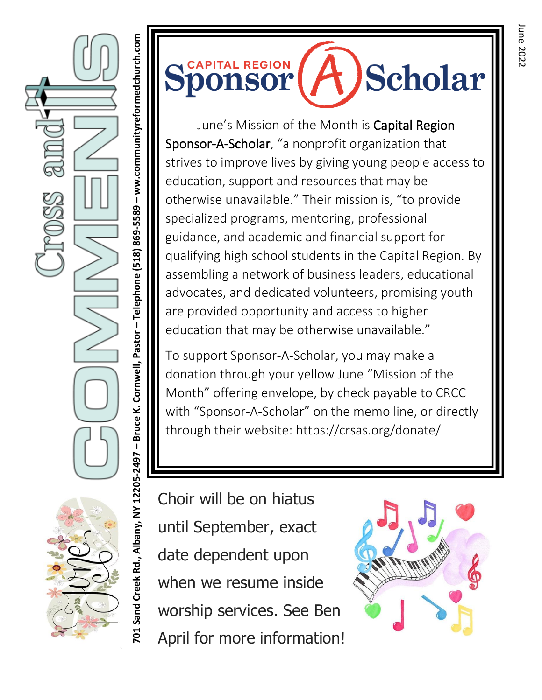**– ww.communityreformedchurch.com** PO1 Sand Creek Rd., Albany, NY 12205-2497 - Bruce K. Cornwell, Pastor - Telephone (518) 869-5589 - ww.communityreformedchurch.com **– Telephone (518) 869-5589 – Bruce K. Cornwell, Pastor 701 Sand Creek Rd., Albany, NY 12205-2497** 



June's Mission of the Month is Capital Region Sponsor-A-Scholar, "a nonprofit organization that strives to improve lives by giving young people access to education, support and resources that may be otherwise unavailable." Their mission is, "to provide specialized programs, mentoring, professional guidance, and academic and financial support for qualifying high school students in the Capital Region. By assembling a network of business leaders, educational advocates, and dedicated volunteers, promising youth are provided opportunity and access to higher education that may be otherwise unavailable."

To support Sponsor-A-Scholar, you may make a donation through your yellow June "Mission of the Month" offering envelope, by check payable to CRCC with "Sponsor-A-Scholar" on the memo line, or directly through their website: https://crsas.org/donate/

Choir will be on hiatus until September, exact date dependent upon when we resume inside worship services. See Ben April for more information!

 $\mathcal{L}(\mathcal{C})$ 

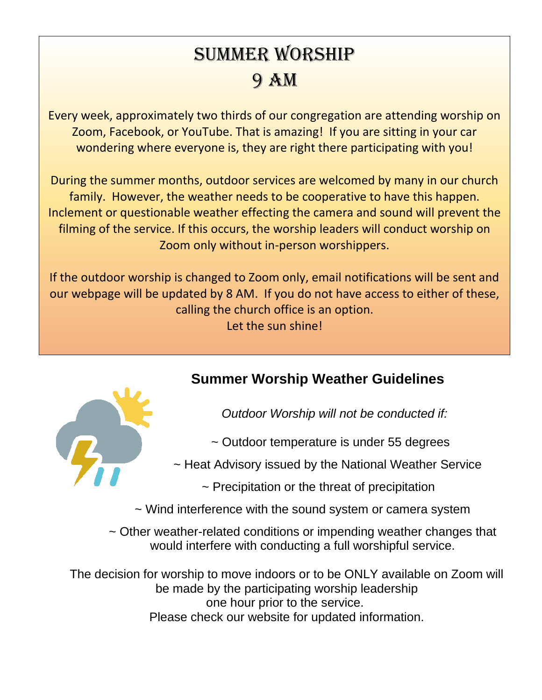# Summer Worship 9 AM

Every week, approximately two thirds of our congregation are attending worship on Zoom, Facebook, or YouTube. That is amazing! If you are sitting in your car wondering where everyone is, they are right there participating with you!

During the summer months, outdoor services are welcomed by many in our church family. However, the weather needs to be cooperative to have this happen. Inclement or questionable weather effecting the camera and sound will prevent the filming of the service. If this occurs, the worship leaders will conduct worship on Zoom only without in-person worshippers.

If the outdoor worship is changed to Zoom only, email notifications will be sent and our webpage will be updated by 8 AM. If you do not have access to either of these, calling the church office is an option. Let the sun shine!



### **Summer Worship Weather Guidelines**

*Outdoor Worship will not be conducted if:*

~ Outdoor temperature is under 55 degrees

~ Heat Advisory issued by the National Weather Service

 $\sim$  Precipitation or the threat of precipitation

~ Wind interference with the sound system or camera system

~ Other weather-related conditions or impending weather changes that would interfere with conducting a full worshipful service.

The decision for worship to move indoors or to be ONLY available on Zoom will be made by the participating worship leadership one hour prior to the service. Please check our website for updated information.